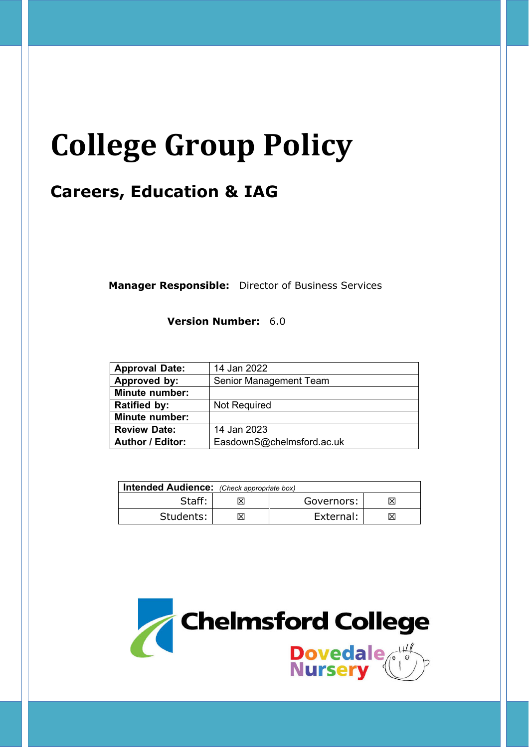# **College Group Policy**

# **Careers, Education & IAG**

**Manager Responsible:** Director of Business Services

**Version Number:** 6.0

| <b>Approval Date:</b>   | 14 Jan 2022               |  |
|-------------------------|---------------------------|--|
| Approved by:            | Senior Management Team    |  |
| <b>Minute number:</b>   |                           |  |
| <b>Ratified by:</b>     | Not Required              |  |
| <b>Minute number:</b>   |                           |  |
| <b>Review Date:</b>     | 14 Jan 2023               |  |
| <b>Author / Editor:</b> | EasdownS@chelmsford.ac.uk |  |

| Intended Audience: (Check appropriate box) |    |            |    |  |
|--------------------------------------------|----|------------|----|--|
| Staff:                                     | Ιx | Governors: |    |  |
| Students:                                  |    | External:  | ΙX |  |

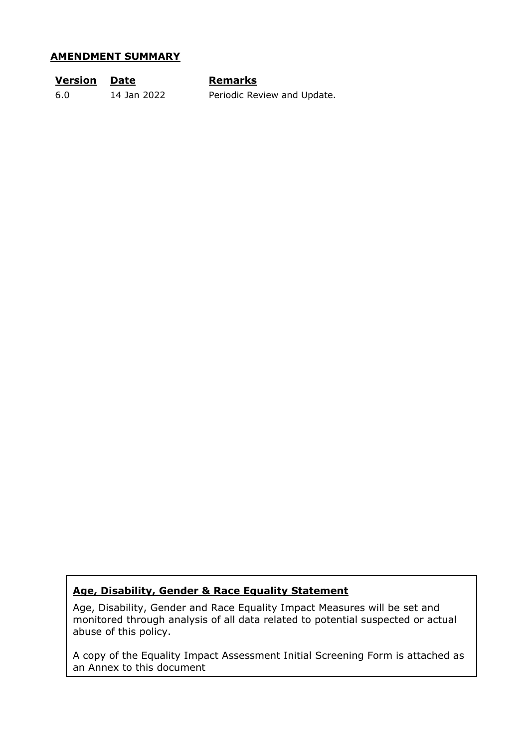#### **AMENDMENT SUMMARY**

| <b>Version Date</b> |             | <b>Remarks</b>              |
|---------------------|-------------|-----------------------------|
| 6.0                 | 14 Jan 2022 | Periodic Review and Update. |

# **Age, Disability, Gender & Race Equality Statement**

Age, Disability, Gender and Race Equality Impact Measures will be set and monitored through analysis of all data related to potential suspected or actual abuse of this policy.

A copy of the Equality Impact Assessment Initial Screening Form is attached as an Annex to this document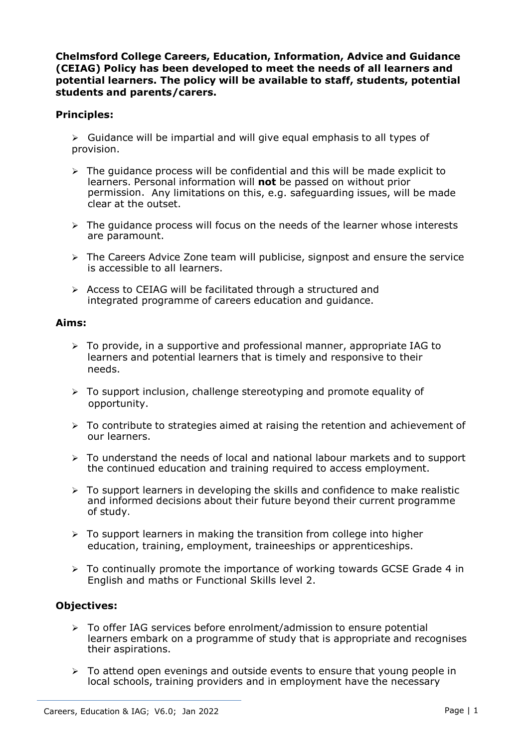**Chelmsford College Careers, Education, Information, Advice and Guidance (CEIAG) Policy has been developed to meet the needs of all learners and potential learners. The policy will be available to staff, students, potential students and parents/carers.**

# **Principles:**

 $\triangleright$  Guidance will be impartial and will give equal emphasis to all types of provision.

- $\triangleright$  The quidance process will be confidential and this will be made explicit to learners. Personal information will **not** be passed on without prior permission. Any limitations on this, e.g. safeguarding issues, will be made clear at the outset.
- $\triangleright$  The quidance process will focus on the needs of the learner whose interests are paramount.
- $\triangleright$  The Careers Advice Zone team will publicise, signpost and ensure the service is accessible to all learners.
- $\triangleright$  Access to CEIAG will be facilitated through a structured and integrated programme of careers education and guidance.

#### **Aims:**

- $\triangleright$  To provide, in a supportive and professional manner, appropriate IAG to learners and potential learners that is timely and responsive to their needs.
- $\geq$  To support inclusion, challenge stereotyping and promote equality of opportunity.
- $\triangleright$  To contribute to strategies aimed at raising the retention and achievement of our learners.
- > To understand the needs of local and national labour markets and to support the continued education and training required to access employment.
- $\triangleright$  To support learners in developing the skills and confidence to make realistic and informed decisions about their future beyond their current programme of study.
- $\triangleright$  To support learners in making the transition from college into higher education, training, employment, traineeships or apprenticeships.
- $\geq$  To continually promote the importance of working towards GCSE Grade 4 in English and maths or Functional Skills level 2.

# **Objectives:**

- $\geq$  To offer IAG services before enrolment/admission to ensure potential learners embark on a programme of study that is appropriate and recognises their aspirations.
- $\triangleright$  To attend open evenings and outside events to ensure that young people in local schools, training providers and in employment have the necessary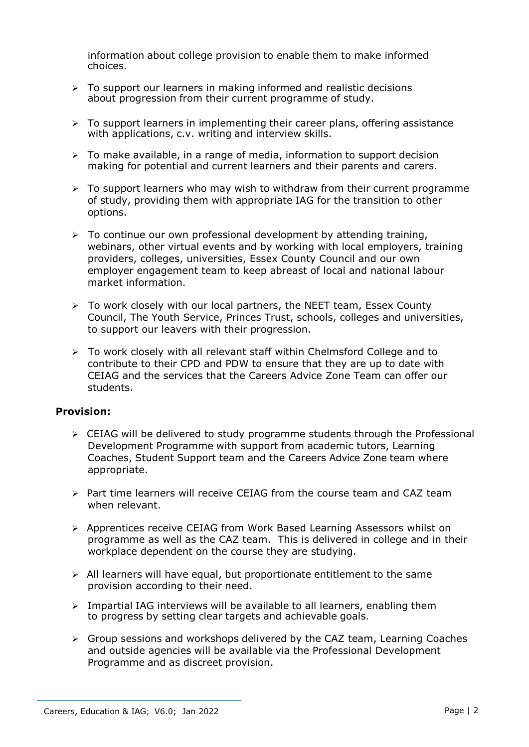information about college provision to enable them to make informed choices.

- $\triangleright$  To support our learners in making informed and realistic decisions about progression from their current programme of study.
- $\triangleright$  To support learners in implementing their career plans, offering assistance with applications, c.v. writing and interview skills.
- $\triangleright$  To make available, in a range of media, information to support decision making for potential and current learners and their parents and carers.
- $\triangleright$  To support learners who may wish to withdraw from their current programme of study, providing them with appropriate IAG for the transition to other options.
- $\triangleright$  To continue our own professional development by attending training, webinars, other virtual events and by working with local employers, training providers, colleges, universities, Essex County Council and our own employer engagement team to keep abreast of local and national labour market information.
- $\triangleright$  To work closely with our local partners, the NEET team, Essex County Council, The Youth Service, Princes Trust, schools, colleges and universities, to support our leavers with their progression.
- $\triangleright$  To work closely with all relevant staff within Chelmsford College and to contribute to their CPD and PDW to ensure that they are up to date with CEIAG and the services that the Careers Advice Zone Team can offer our students.

## **Provision:**

- $\triangleright$  CEIAG will be delivered to study programme students through the Professional Development Programme with support from academic tutors, Learning Coaches, Student Support team and the Careers Advice Zone team where appropriate.
- $\triangleright$  Part time learners will receive CEIAG from the course team and CAZ team when relevant.
- Apprentices receive CEIAG from Work Based Learning Assessors whilst on programme as well as the CAZ team. This is delivered in college and in their workplace dependent on the course they are studying.
- $\triangleright$  All learners will have equal, but proportionate entitlement to the same provision according to their need.
- $\triangleright$  Impartial IAG interviews will be available to all learners, enabling them to progress by setting clear targets and achievable goals.
- $\triangleright$  Group sessions and workshops delivered by the CAZ team, Learning Coaches and outside agencies will be available via the Professional Development Programme and as discreet provision.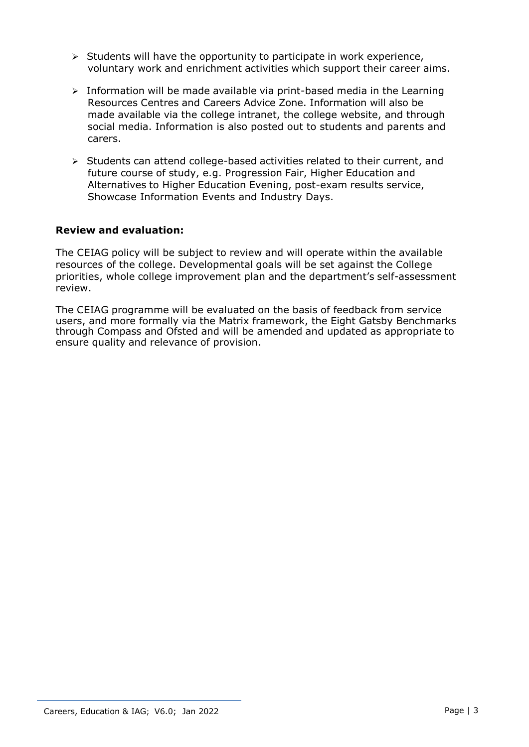- $\triangleright$  Students will have the opportunity to participate in work experience, voluntary work and enrichment activities which support their career aims.
- $\triangleright$  Information will be made available via print-based media in the Learning Resources Centres and Careers Advice Zone. Information will also be made available via the college intranet, the college website, and through social media. Information is also posted out to students and parents and carers.
- $\triangleright$  Students can attend college-based activities related to their current, and future course of study, e.g. Progression Fair, Higher Education and Alternatives to Higher Education Evening, post-exam results service, Showcase Information Events and Industry Days.

## **Review and evaluation:**

The CEIAG policy will be subject to review and will operate within the available resources of the college. Developmental goals will be set against the College priorities, whole college improvement plan and the department's self-assessment review.

The CEIAG programme will be evaluated on the basis of feedback from service users, and more formally via the Matrix framework, the Eight Gatsby Benchmarks through Compass and Ofsted and will be amended and updated as appropriate to ensure quality and relevance of provision.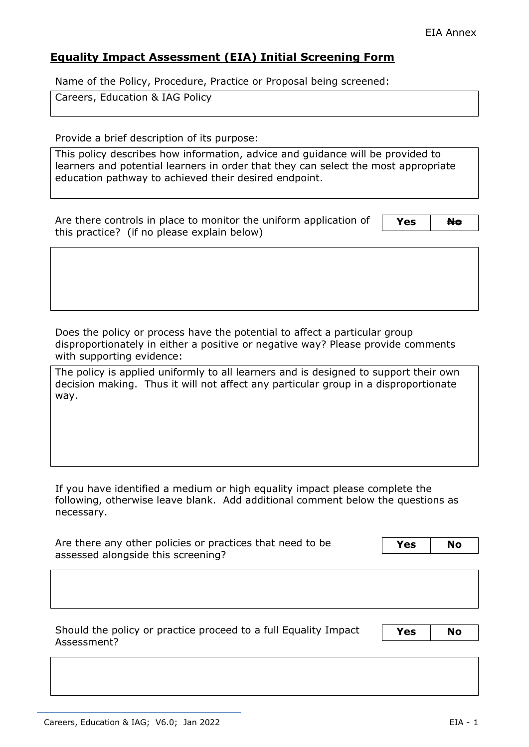# **Equality Impact Assessment (EIA) Initial Screening Form**

Name of the Policy, Procedure, Practice or Proposal being screened:

Careers, Education & IAG Policy

Provide a brief description of its purpose:

This policy describes how information, advice and guidance will be provided to learners and potential learners in order that they can select the most appropriate education pathway to achieved their desired endpoint.

Are there controls in place to monitor the uniform application of this practice? (if no please explain below)

Yes No

Does the policy or process have the potential to affect a particular group disproportionately in either a positive or negative way? Please provide comments with supporting evidence:

The policy is applied uniformly to all learners and is designed to support their own decision making. Thus it will not affect any particular group in a disproportionate way.

If you have identified a medium or high equality impact please complete the following, otherwise leave blank. Add additional comment below the questions as necessary.

| Are there any other policies or practices that need to be |  | <b>No</b> |
|-----------------------------------------------------------|--|-----------|
| assessed alongside this screening?                        |  |           |

Should the policy or practice proceed to a full Equality Impact Assessment?

**Yes No**